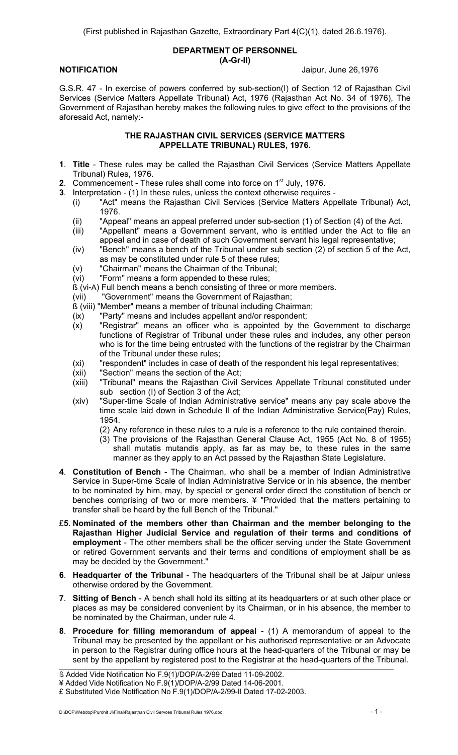#### **DEPARTMENT OF PERSONNEL (A-Gr-II)**

**NOTIFICATION** Jaipur, June 26,1976

G.S.R. 47 - In exercise of powers conferred by sub-section(I) of Section 12 of Rajasthan Civil Services (Service Matters Appellate Tribunal) Act, 1976 (Rajasthan Act No. 34 of 1976), The Government of Rajasthan hereby makes the following rules to give effect to the provisions of the aforesaid Act, namely:-

#### **THE RAJASTHAN CIVIL SERVICES (SERVICE MATTERS APPELLATE TRIBUNAL) RULES, 1976.**

- **1**. **Title** These rules may be called the Rajasthan Civil Services (Service Matters Appellate Tribunal) Rules, 1976.
- **2.** Commencement These rules shall come into force on 1<sup>st</sup> July, 1976.
- **3**. Interpretation (1) In these rules, unless the context otherwise requires
	- (i) "Act" means the Rajasthan Civil Services (Service Matters Appellate Tribunal) Act, 1976.
	- (ii) "Appeal" means an appeal preferred under sub-section (1) of Section (4) of the Act.
	- (iii) "Appellant" means a Government servant, who is entitled under the Act to file an appeal and in case of death of such Government servant his legal representative;
	- (iv) "Bench" means a bench of the Tribunal under sub section (2) of section 5 of the Act, as may be constituted under rule 5 of these rules;
	- (v) "Chairman" means the Chairman of the Tribunal;
	- (vi) "Form" means a form appended to these rules;
	- ß (vi-A) Full bench means a bench consisting of three or more members.
	- (vii) "Government" means the Government of Rajasthan;
	- ß (viii) "Member" means a member of tribunal including Chairman;
	- $(ix)$  "Party" means and includes appellant and/or respondent;<br> $(x)$  "Registrar" means an officer who is appointed by the
	- "Registrar" means an officer who is appointed by the Government to discharge functions of Registrar of Tribunal under these rules and includes, any other person who is for the time being entrusted with the functions of the registrar by the Chairman of the Tribunal under these rules;
	- (xi) "respondent" includes in case of death of the respondent his legal representatives;
	- (xii) "Section" means the section of the Act;
	- (xiii) "Tribunal" means the Rajasthan Civil Services Appellate Tribunal constituted under sub section (I) of Section 3 of the Act;
	- (xiv) "Super-time Scale of Indian Administrative service" means any pay scale above the time scale laid down in Schedule II of the Indian Administrative Service(Pay) Rules, 1954.
		- (2) Any reference in these rules to a rule is a reference to the rule contained therein.
		- (3) The provisions of the Rajasthan General Clause Act, 1955 (Act No. 8 of 1955) shall mutatis mutandis apply, as far as may be, to these rules in the same manner as they apply to an Act passed by the Rajasthan State Legislature.
- **4**. **Constitution of Bench** The Chairman, who shall be a member of Indian Administrative Service in Super-time Scale of Indian Administrative Service or in his absence, the member to be nominated by him, may, by special or general order direct the constitution of bench or benches comprising of two or more members. ¥ "Provided that the matters pertaining to transfer shall be heard by the full Bench of the Tribunal."
- £**5**. **Nominated of the members other than Chairman and the member belonging to the Rajasthan Higher Judicial Service and regulation of their terms and conditions of employment** - The other members shall be the officer serving under the State Government or retired Government servants and their terms and conditions of employment shall be as may be decided by the Government."
- **6**. **Headquarter of the Tribunal** The headquarters of the Tribunal shall be at Jaipur unless otherwise ordered by the Government.
- **7**. **Sitting of Bench** A bench shall hold its sitting at its headquarters or at such other place or places as may be considered convenient by its Chairman, or in his absence, the member to be nominated by the Chairman, under rule 4.
- **8**. **Procedure for filling memorandum of appeal** (1) A memorandum of appeal to the Tribunal may be presented by the appellant or his authorised representative or an Advocate in person to the Registrar during office hours at the head-quarters of the Tribunal or may be sent by the appellant by registered post to the Registrar at the head-quarters of the Tribunal.

ß Added Vide Notification No F.9(1)/DOP/A-2/99 Dated 11-09-2002.

<sup>¥</sup> Added Vide Notification No F.9(1)/DOP/A-2/99 Dated 14-06-2001.

<sup>£</sup> Substituted Vide Notification No F.9(1)/DOP/A-2/99-II Dated 17-02-2003.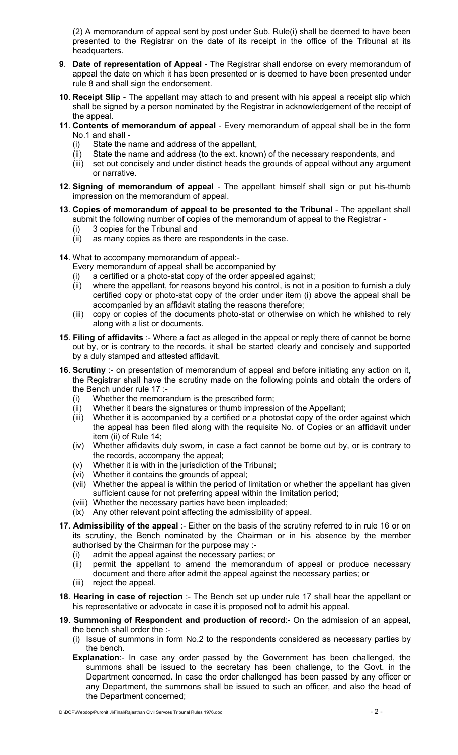(2) A memorandum of appeal sent by post under Sub. Rule(i) shall be deemed to have been presented to the Registrar on the date of its receipt in the office of the Tribunal at its headquarters.

- **9**. **Date of representation of Appeal** The Registrar shall endorse on every memorandum of appeal the date on which it has been presented or is deemed to have been presented under rule 8 and shall sign the endorsement.
- **10**. **Receipt Slip** The appellant may attach to and present with his appeal a receipt slip which shall be signed by a person nominated by the Registrar in acknowledgement of the receipt of the appeal.
- **11**. **Contents of memorandum of appeal** Every memorandum of appeal shall be in the form No.1 and shall -
	- (i) State the name and address of the appellant,
	- (ii) State the name and address (to the ext. known) of the necessary respondents, and
	- (iii) set out concisely and under distinct heads the grounds of appeal without any argument or narrative.
- **12**. **Signing of memorandum of appeal** The appellant himself shall sign or put his-thumb impression on the memorandum of appeal.
- **13**. **Copies of memorandum of appeal to be presented to the Tribunal** The appellant shall submit the following number of copies of the memorandum of appeal to the Registrar -
	- (i) 3 copies for the Tribunal and
	- (ii) as many copies as there are respondents in the case.
- **14**. What to accompany memorandum of appeal:-
	- Every memorandum of appeal shall be accompanied by
	- (i) a certified or a photo-stat copy of the order appealed against;
	- (ii) where the appellant, for reasons beyond his control, is not in a position to furnish a duly certified copy or photo-stat copy of the order under item (i) above the appeal shall be accompanied by an affidavit stating the reasons therefore;
	- (iii) copy or copies of the documents photo-stat or otherwise on which he whished to rely along with a list or documents.
- **15**. **Filing of affidavits** :- Where a fact as alleged in the appeal or reply there of cannot be borne out by, or is contrary to the records, it shall be started clearly and concisely and supported by a duly stamped and attested affidavit.
- **16**. **Scrutiny** :- on presentation of memorandum of appeal and before initiating any action on it, the Registrar shall have the scrutiny made on the following points and obtain the orders of the Bench under rule 17 :-
	- (i) Whether the memorandum is the prescribed form;
	- (ii) Whether it bears the signatures or thumb impression of the Appellant;
	- (iii) Whether it is accompanied by a certified or a photostat copy of the order against which the appeal has been filed along with the requisite No. of Copies or an affidavit under item (ii) of Rule 14;
	- (iv) Whether affidavits duly sworn, in case a fact cannot be borne out by, or is contrary to the records, accompany the appeal;
	- (v) Whether it is with in the jurisdiction of the Tribunal;
	- (vi) Whether it contains the grounds of appeal;
	- (vii) Whether the appeal is within the period of limitation or whether the appellant has given sufficient cause for not preferring appeal within the limitation period;
	- (viii) Whether the necessary parties have been impleaded;
	- (ix) Any other relevant point affecting the admissibility of appeal.
- **17**. **Admissibility of the appeal** :- Either on the basis of the scrutiny referred to in rule 16 or on its scrutiny, the Bench nominated by the Chairman or in his absence by the member authorised by the Chairman for the purpose may :-
	- (i) admit the appeal against the necessary parties; or
	- (ii) permit the appellant to amend the memorandum of appeal or produce necessary document and there after admit the appeal against the necessary parties; or
	- (iii) reject the appeal.
- **18**. **Hearing in case of rejection** :- The Bench set up under rule 17 shall hear the appellant or his representative or advocate in case it is proposed not to admit his appeal.
- **19**. **Summoning of Respondent and production of record**:- On the admission of an appeal, the bench shall order the :-
	- (i) Issue of summons in form No.2 to the respondents considered as necessary parties by the bench.
	- **Explanation**:- In case any order passed by the Government has been challenged, the summons shall be issued to the secretary has been challenge, to the Govt. in the Department concerned. In case the order challenged has been passed by any officer or any Department, the summons shall be issued to such an officer, and also the head of the Department concerned;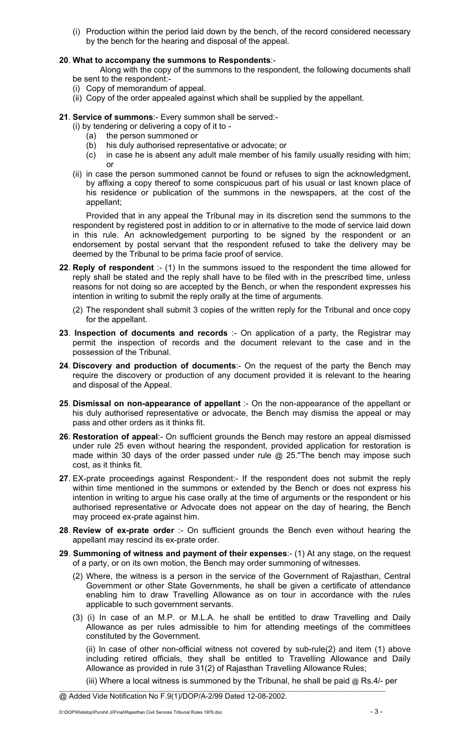(i) Production within the period laid down by the bench, of the record considered necessary by the bench for the hearing and disposal of the appeal.

#### **20**. **What to accompany the summons to Respondents**:-

 Along with the copy of the summons to the respondent, the following documents shall be sent to the respondent:-

- (i) Copy of memorandum of appeal.
- (ii) Copy of the order appealed against which shall be supplied by the appellant.

**21**. **Service of summons**:- Every summon shall be served:-

- (i) by tendering or delivering a copy of it to
	- (a) the person summoned or
	- (b) his duly authorised representative or advocate; or
	- (c) in case he is absent any adult male member of his family usually residing with him; or
- (ii) in case the person summoned cannot be found or refuses to sign the acknowledgment, by affixing a copy thereof to some conspicuous part of his usual or last known place of his residence or publication of the summons in the newspapers, at the cost of the appellant;

Provided that in any appeal the Tribunal may in its discretion send the summons to the respondent by registered post in addition to or in alternative to the mode of service laid down in this rule. An acknowledgement purporting to be signed by the respondent or an endorsement by postal servant that the respondent refused to take the delivery may be deemed by the Tribunal to be prima facie proof of service.

- **22**. **Reply of respondent** :- (1) In the summons issued to the respondent the time allowed for reply shall be stated and the reply shall have to be filed with in the prescribed time, unless reasons for not doing so are accepted by the Bench, or when the respondent expresses his intention in writing to submit the reply orally at the time of arguments.
	- (2) The respondent shall submit 3 copies of the written reply for the Tribunal and once copy for the appellant.
- **23**. **Inspection of documents and records** :- On application of a party, the Registrar may permit the inspection of records and the document relevant to the case and in the possession of the Tribunal.
- **24**. **Discovery and production of documents**:- On the request of the party the Bench may require the discovery or production of any document provided it is relevant to the hearing and disposal of the Appeal.
- **25**. **Dismissal on non-appearance of appellant** :- On the non-appearance of the appellant or his duly authorised representative or advocate, the Bench may dismiss the appeal or may pass and other orders as it thinks fit.
- **26**. **Restoration of appeal**:- On sufficient grounds the Bench may restore an appeal dismissed under rule 25 even without hearing the respondent, provided application for restoration is made within 30 days of the order passed under rule  $@$  25. The bench may impose such cost, as it thinks fit.
- 27. EX-prate proceedings against Respondent:- If the respondent does not submit the reply within time mentioned in the summons or extended by the Bench or does not express his intention in writing to argue his case orally at the time of arguments or the respondent or his authorised representative or Advocate does not appear on the day of hearing, the Bench may proceed ex-prate against him.
- **28**. **Review of ex-prate order** :- On sufficient grounds the Bench even without hearing the appellant may rescind its ex-prate order.
- **29**. **Summoning of witness and payment of their expenses**:- (1) At any stage, on the request of a party, or on its own motion, the Bench may order summoning of witnesses.
	- (2) Where, the witness is a person in the service of the Government of Rajasthan, Central Government or other State Governments, he shall be given a certificate of attendance enabling him to draw Travelling Allowance as on tour in accordance with the rules applicable to such government servants.
	- (3) (i) In case of an M.P. or M.L.A. he shall be entitled to draw Travelling and Daily Allowance as per rules admissible to him for attending meetings of the committees constituted by the Government.

(ii) In case of other non-official witness not covered by sub-rule(2) and item (1) above including retired officials, they shall be entitled to Travelling Allowance and Daily Allowance as provided in rule 31(2) of Rajasthan Travelling Allowance Rules;

(iii) Where a local witness is summoned by the Tribunal, he shall be paid @ Rs.4/- per

@ Added Vide Notification No F.9(1)/DOP/A-2/99 Dated 12-08-2002.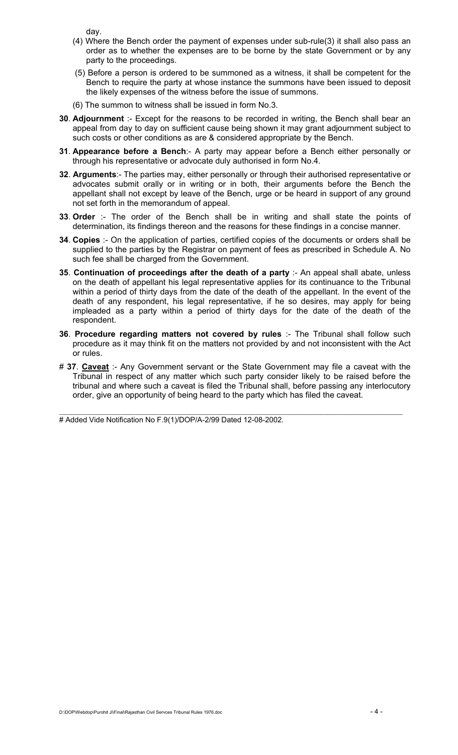day.

- (4) Where the Bench order the payment of expenses under sub-rule(3) it shall also pass an order as to whether the expenses are to be borne by the state Government or by any party to the proceedings.
- (5) Before a person is ordered to be summoned as a witness, it shall be competent for the Bench to require the party at whose instance the summons have been issued to deposit the likely expenses of the witness before the issue of summons.
- (6) The summon to witness shall be issued in form No.3.
- **30**. **Adjournment** :- Except for the reasons to be recorded in writing, the Bench shall bear an appeal from day to day on sufficient cause being shown it may grant adjournment subject to such costs or other conditions as are & considered appropriate by the Bench.
- **31**. **Appearance before a Bench**:- A party may appear before a Bench either personally or through his representative or advocate duly authorised in form No.4.
- **32**. **Arguments**:- The parties may, either personally or through their authorised representative or advocates submit orally or in writing or in both, their arguments before the Bench the appellant shall not except by leave of the Bench, urge or be heard in support of any ground not set forth in the memorandum of appeal.
- **33**. **Order** :- The order of the Bench shall be in writing and shall state the points of determination, its findings thereon and the reasons for these findings in a concise manner.
- **34**. **Copies** :- On the application of parties, certified copies of the documents or orders shall be supplied to the parties by the Registrar on payment of fees as prescribed in Schedule A. No such fee shall be charged from the Government.
- **35**. **Continuation of proceedings after the death of a party** :- An appeal shall abate, unless on the death of appellant his legal representative applies for its continuance to the Tribunal within a period of thirty days from the date of the death of the appellant. In the event of the death of any respondent, his legal representative, if he so desires, may apply for being impleaded as a party within a period of thirty days for the date of the death of the respondent.
- **36**. **Procedure regarding matters not covered by rules** :- The Tribunal shall follow such procedure as it may think fit on the matters not provided by and not inconsistent with the Act or rules.
- # **37**. **Caveat** :- Any Government servant or the State Government may file a caveat with the Tribunal in respect of any matter which such party consider likely to be raised before the tribunal and where such a caveat is filed the Tribunal shall, before passing any interlocutory order, give an opportunity of being heard to the party which has filed the caveat.

 $\ldots$  . The contribution of the contribution of the contribution of the contribution of the contribution of the contribution of the contribution of the contribution of the contribution of the contribution of the contribut # Added Vide Notification No F.9(1)/DOP/A-2/99 Dated 12-08-2002.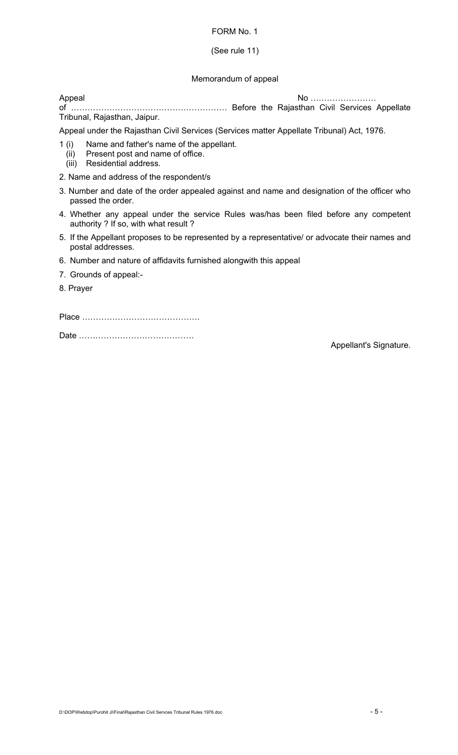#### (See rule 11)

#### Memorandum of appeal

Appeal No …………………… of ………………………………………………… Before the Rajasthan Civil Services Appellate Tribunal, Rajasthan, Jaipur.

Appeal under the Rajasthan Civil Services (Services matter Appellate Tribunal) Act, 1976.

- 1 (i) Name and father's name of the appellant.
	- (ii) Present post and name of office.
	- (iii) Residential address.
- 2. Name and address of the respondent/s
- 3. Number and date of the order appealed against and name and designation of the officer who passed the order.
- 4. Whether any appeal under the service Rules was/has been filed before any competent authority ? If so, with what result ?
- 5. If the Appellant proposes to be represented by a representative/ or advocate their names and postal addresses.
- 6. Number and nature of affidavits furnished alongwith this appeal
- 7. Grounds of appeal:-
- 8. Prayer

Place …………………………………….

Date ……………………………………

Appellant's Signature.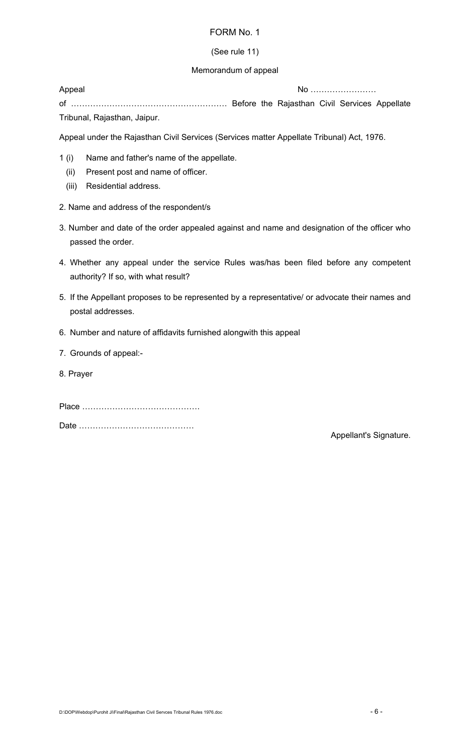## (See rule 11)

## Memorandum of appeal

Appeal No …………………… of ………………………………………………… Before the Rajasthan Civil Services Appellate Tribunal, Rajasthan, Jaipur.

Appeal under the Rajasthan Civil Services (Services matter Appellate Tribunal) Act, 1976.

- 1 (i) Name and father's name of the appellate.
	- (ii) Present post and name of officer.
	- (iii) Residential address.
- 2. Name and address of the respondent/s
- 3. Number and date of the order appealed against and name and designation of the officer who passed the order.
- 4. Whether any appeal under the service Rules was/has been filed before any competent authority? If so, with what result?
- 5. If the Appellant proposes to be represented by a representative/ or advocate their names and postal addresses.
- 6. Number and nature of affidavits furnished alongwith this appeal
- 7. Grounds of appeal:-
- 8. Prayer

Place …………………………………….

Date ……………………………………

Appellant's Signature.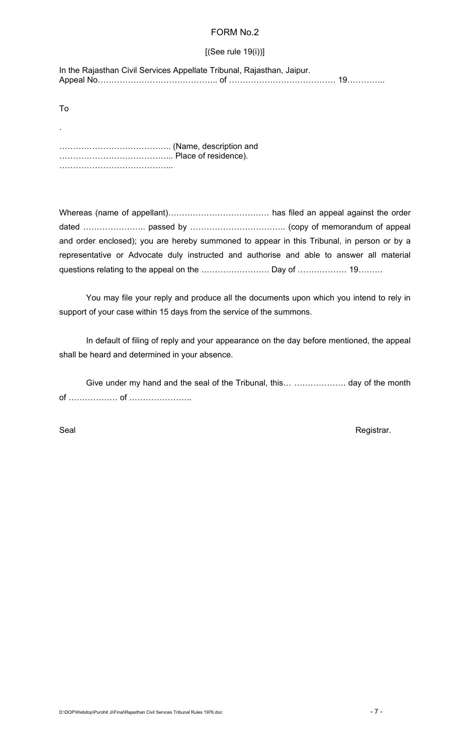## [(See rule 19(i))]

In the Rajasthan Civil Services Appellate Tribunal, Rajasthan, Jaipur. Appeal No…………………………………….. of ………………………………… 19…………..

To

.

………………………………….. (Name, description and …………………………………... Place of residence). ……………………………………………

Whereas (name of appellant)………………………………. has filed an appeal against the order dated ………………….. passed by …………………………….. (copy of memorandum of appeal and order enclosed); you are hereby summoned to appear in this Tribunal, in person or by a representative or Advocate duly instructed and authorise and able to answer all material questions relating to the appeal on the ……………………… Day of ………………… 19………

You may file your reply and produce all the documents upon which you intend to rely in support of your case within 15 days from the service of the summons.

In default of filing of reply and your appearance on the day before mentioned, the appeal shall be heard and determined in your absence.

Give under my hand and the seal of the Tribunal, this… ………………. day of the month of ……………… of …………………..

Seal **Registrar.**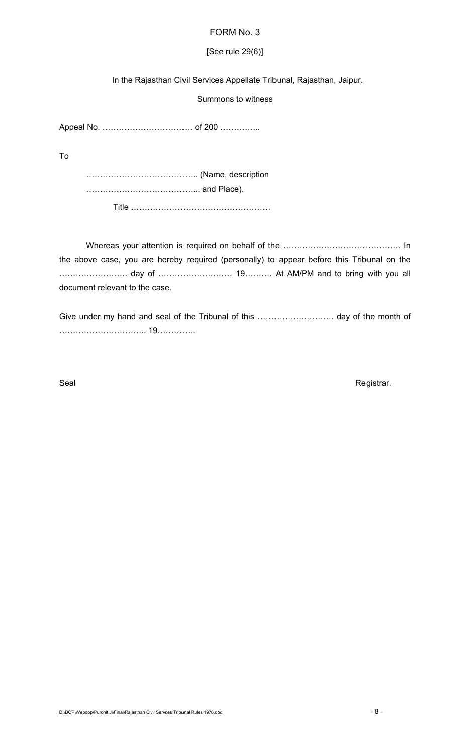## [See rule 29(6)]

In the Rajasthan Civil Services Appellate Tribunal, Rajasthan, Jaipur.

Summons to witness

Appeal No. …………………………… of 200 …………...

To

………………………………….. (Name, description …………………………………... and Place). Title ……………………………………………

Whereas your attention is required on behalf of the ……………………………………. In the above case, you are hereby required (personally) to appear before this Tribunal on the ……………………. day of ……………………… 19………. At AM/PM and to bring with you all document relevant to the case.

Give under my hand and seal of the Tribunal of this ………………………. day of the month of ………………………….. 19…………..

Seal Registrar.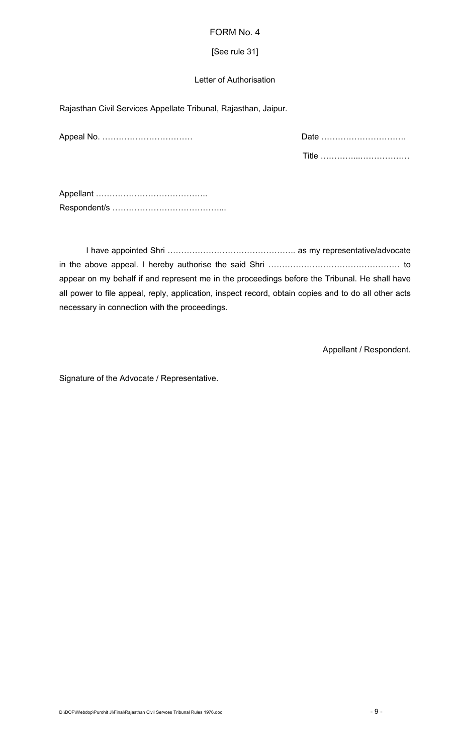### [See rule 31]

## Letter of Authorisation

Rajasthan Civil Services Appellate Tribunal, Rajasthan, Jaipur.

| Date. |
|-------|
|       |

Appellant ………………………………….. Respondent/s …………………………………...

I have appointed Shri ……………………………………….. as my representative/advocate in the above appeal. I hereby authorise the said Shri ………………………………………… to appear on my behalf if and represent me in the proceedings before the Tribunal. He shall have all power to file appeal, reply, application, inspect record, obtain copies and to do all other acts necessary in connection with the proceedings.

Appellant / Respondent.

Signature of the Advocate / Representative.